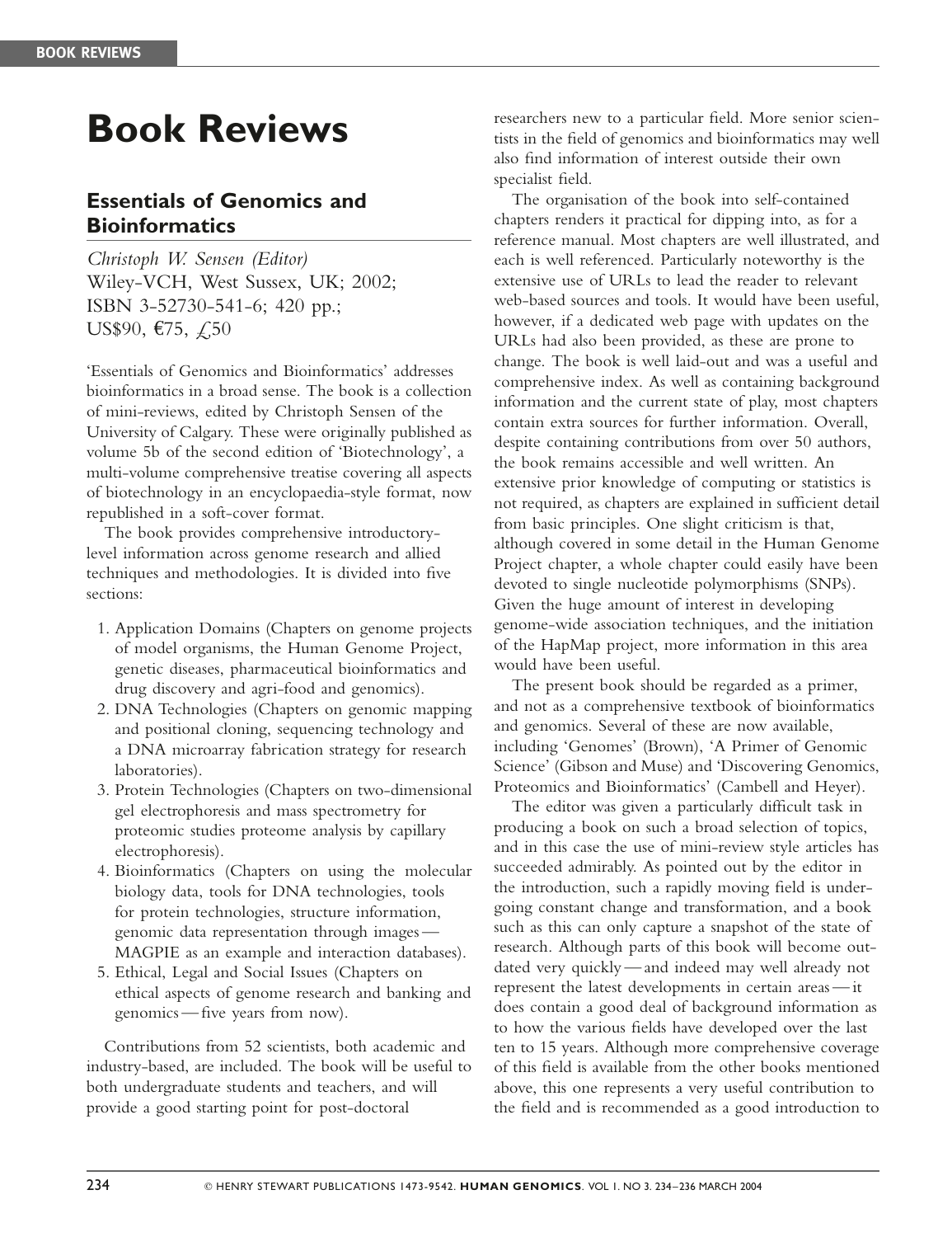## Book Reviews

## Essentials of Genomics and **Bioinformatics**

Christoph W. Sensen (Editor) Wiley-VCH, West Sussex, UK; 2002; ISBN 3-52730-541-6; 420 pp.; US\$90, €75,  $£,50$ 

'Essentials of Genomics and Bioinformatics' addresses bioinformatics in a broad sense. The book is a collection of mini-reviews, edited by Christoph Sensen of the University of Calgary. These were originally published as volume 5b of the second edition of 'Biotechnology', a multi-volume comprehensive treatise covering all aspects of biotechnology in an encyclopaedia-style format, now republished in a soft-cover format.

The book provides comprehensive introductorylevel information across genome research and allied techniques and methodologies. It is divided into five sections:

- 1. Application Domains (Chapters on genome projects of model organisms, the Human Genome Project, genetic diseases, pharmaceutical bioinformatics and drug discovery and agri-food and genomics).
- 2. DNA Technologies (Chapters on genomic mapping and positional cloning, sequencing technology and a DNA microarray fabrication strategy for research laboratories).
- 3. Protein Technologies (Chapters on two-dimensional gel electrophoresis and mass spectrometry for proteomic studies proteome analysis by capillary electrophoresis).
- 4. Bioinformatics (Chapters on using the molecular biology data, tools for DNA technologies, tools for protein technologies, structure information, genomic data representation through images — MAGPIE as an example and interaction databases).
- 5. Ethical, Legal and Social Issues (Chapters on ethical aspects of genome research and banking and genomics — five years from now).

Contributions from 52 scientists, both academic and industry-based, are included. The book will be useful to both undergraduate students and teachers, and will provide a good starting point for post-doctoral

researchers new to a particular field. More senior scientists in the field of genomics and bioinformatics may well also find information of interest outside their own specialist field.

The organisation of the book into self-contained chapters renders it practical for dipping into, as for a reference manual. Most chapters are well illustrated, and each is well referenced. Particularly noteworthy is the extensive use of URLs to lead the reader to relevant web-based sources and tools. It would have been useful, however, if a dedicated web page with updates on the URLs had also been provided, as these are prone to change. The book is well laid-out and was a useful and comprehensive index. As well as containing background information and the current state of play, most chapters contain extra sources for further information. Overall, despite containing contributions from over 50 authors, the book remains accessible and well written. An extensive prior knowledge of computing or statistics is not required, as chapters are explained in sufficient detail from basic principles. One slight criticism is that, although covered in some detail in the Human Genome Project chapter, a whole chapter could easily have been devoted to single nucleotide polymorphisms (SNPs). Given the huge amount of interest in developing genome-wide association techniques, and the initiation of the HapMap project, more information in this area would have been useful.

The present book should be regarded as a primer, and not as a comprehensive textbook of bioinformatics and genomics. Several of these are now available, including 'Genomes' (Brown), 'A Primer of Genomic Science' (Gibson and Muse) and 'Discovering Genomics, Proteomics and Bioinformatics' (Cambell and Heyer).

The editor was given a particularly difficult task in producing a book on such a broad selection of topics, and in this case the use of mini-review style articles has succeeded admirably. As pointed out by the editor in the introduction, such a rapidly moving field is undergoing constant change and transformation, and a book such as this can only capture a snapshot of the state of research. Although parts of this book will become outdated very quickly — and indeed may well already not represent the latest developments in certain areas — it does contain a good deal of background information as to how the various fields have developed over the last ten to 15 years. Although more comprehensive coverage of this field is available from the other books mentioned above, this one represents a very useful contribution to the field and is recommended as a good introduction to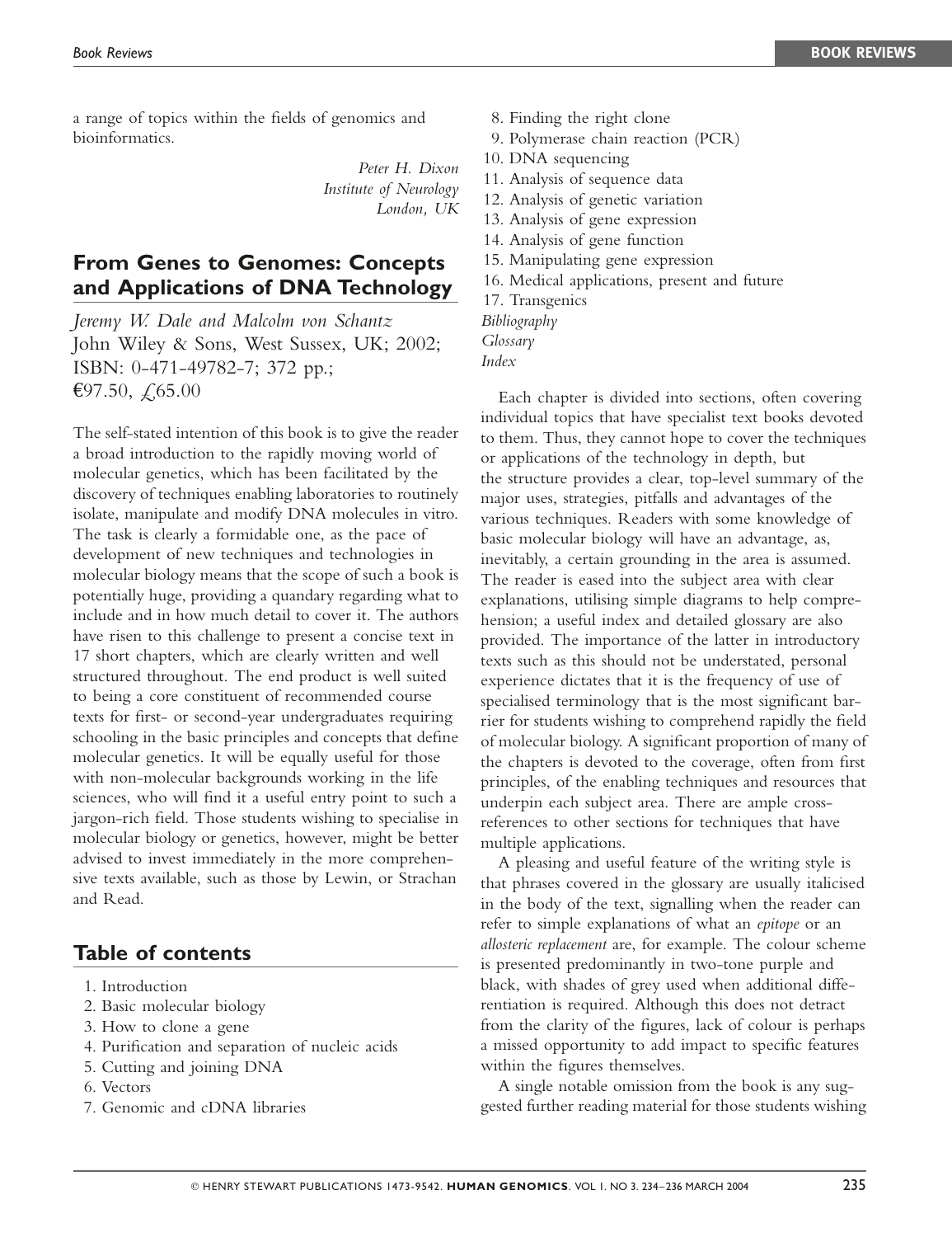a range of topics within the fields of genomics and bioinformatics.

> Peter H. Dixon Institute of Neurology London, UK

## From Genes to Genomes: Concepts and Applications of DNA Technology

Jeremy W. Dale and Malcolm von Schantz John Wiley & Sons, West Sussex, UK; 2002; ISBN: 0-471-49782-7; 372 pp.; €97.50,  $\zeta$ ,65.00

The self-stated intention of this book is to give the reader a broad introduction to the rapidly moving world of molecular genetics, which has been facilitated by the discovery of techniques enabling laboratories to routinely isolate, manipulate and modify DNA molecules in vitro. The task is clearly a formidable one, as the pace of development of new techniques and technologies in molecular biology means that the scope of such a book is potentially huge, providing a quandary regarding what to include and in how much detail to cover it. The authors have risen to this challenge to present a concise text in 17 short chapters, which are clearly written and well structured throughout. The end product is well suited to being a core constituent of recommended course texts for first- or second-year undergraduates requiring schooling in the basic principles and concepts that define molecular genetics. It will be equally useful for those with non-molecular backgrounds working in the life sciences, who will find it a useful entry point to such a jargon-rich field. Those students wishing to specialise in molecular biology or genetics, however, might be better advised to invest immediately in the more comprehensive texts available, such as those by Lewin, or Strachan and Read.

## Table of contents

- 1. Introduction
- 2. Basic molecular biology
- 3. How to clone a gene
- 4. Purification and separation of nucleic acids
- 5. Cutting and joining DNA
- 6. Vectors
- 7. Genomic and cDNA libraries
- 8. Finding the right clone
- 9. Polymerase chain reaction (PCR)
- 10. DNA sequencing
- 11. Analysis of sequence data
- 12. Analysis of genetic variation
- 13. Analysis of gene expression
- 14. Analysis of gene function
- 15. Manipulating gene expression
- 16. Medical applications, present and future
- 17. Transgenics
- Bibliography
- Glossary
- Index

Each chapter is divided into sections, often covering individual topics that have specialist text books devoted to them. Thus, they cannot hope to cover the techniques or applications of the technology in depth, but the structure provides a clear, top-level summary of the major uses, strategies, pitfalls and advantages of the various techniques. Readers with some knowledge of basic molecular biology will have an advantage, as, inevitably, a certain grounding in the area is assumed. The reader is eased into the subject area with clear explanations, utilising simple diagrams to help comprehension; a useful index and detailed glossary are also provided. The importance of the latter in introductory texts such as this should not be understated, personal experience dictates that it is the frequency of use of specialised terminology that is the most significant barrier for students wishing to comprehend rapidly the field of molecular biology. A significant proportion of many of the chapters is devoted to the coverage, often from first principles, of the enabling techniques and resources that underpin each subject area. There are ample crossreferences to other sections for techniques that have multiple applications.

A pleasing and useful feature of the writing style is that phrases covered in the glossary are usually italicised in the body of the text, signalling when the reader can refer to simple explanations of what an epitope or an allosteric replacement are, for example. The colour scheme is presented predominantly in two-tone purple and black, with shades of grey used when additional differentiation is required. Although this does not detract from the clarity of the figures, lack of colour is perhaps a missed opportunity to add impact to specific features within the figures themselves.

A single notable omission from the book is any suggested further reading material for those students wishing